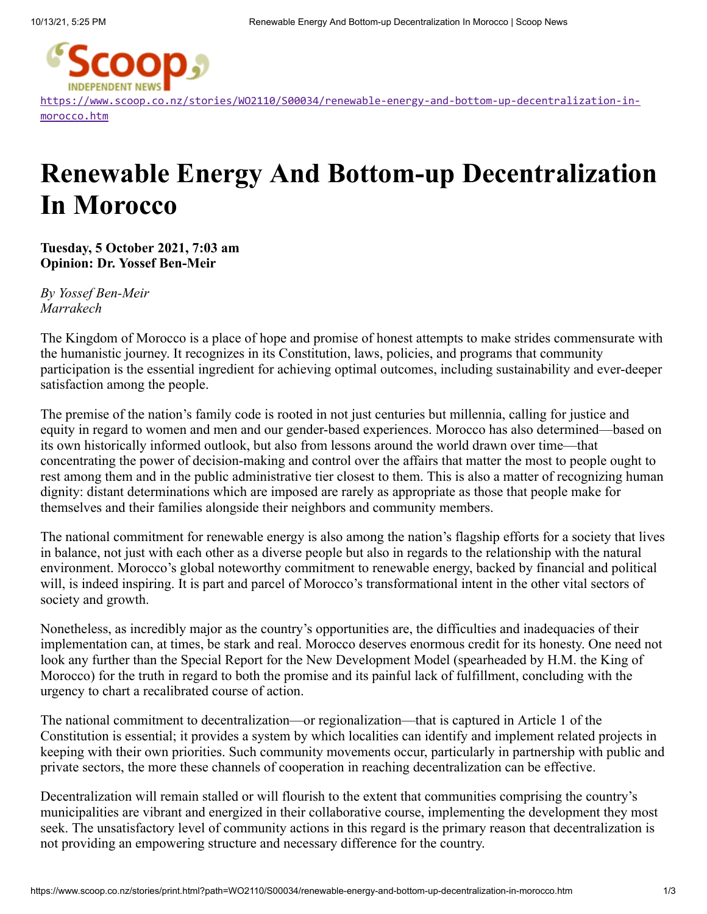

[https://www.scoop.co.nz/stories/WO2110/S00034/renewable-energy-and-bottom-up-decentralization-in](https://www.scoop.co.nz/stories/WO2110/S00034/renewable-energy-and-bottom-up-decentralization-in-morocco.htm)morocco.htm

## **Renewable Energy And Bottom-up Decentralization In Morocco**

**Tuesday, 5 October 2021, 7:03 am Opinion: Dr. Yossef Ben-Meir**

*By Yossef Ben-Meir Marrakech*

The Kingdom of Morocco is a place of hope and promise of honest attempts to make strides commensurate with the humanistic journey. It recognizes in its Constitution, laws, policies, and programs that community participation is the essential ingredient for achieving optimal outcomes, including sustainability and ever-deeper satisfaction among the people.

The premise of the nation's family code is rooted in not just centuries but millennia, calling for justice and equity in regard to women and men and our gender-based experiences. Morocco has also determined—based on its own historically informed outlook, but also from lessons around the world drawn over time—that concentrating the power of decision-making and control over the affairs that matter the most to people ought to rest among them and in the public administrative tier closest to them. This is also a matter of recognizing human dignity: distant determinations which are imposed are rarely as appropriate as those that people make for themselves and their families alongside their neighbors and community members.

The national commitment for renewable energy is also among the nation's flagship efforts for a society that lives in balance, not just with each other as a diverse people but also in regards to the relationship with the natural environment. Morocco's global noteworthy commitment to renewable energy, backed by financial and political will, is indeed inspiring. It is part and parcel of Morocco's transformational intent in the other vital sectors of society and growth.

Nonetheless, as incredibly major as the country's opportunities are, the difficulties and inadequacies of their implementation can, at times, be stark and real. Morocco deserves enormous credit for its honesty. One need not look any further than the Special Report for the New Development Model (spearheaded by H.M. the King of Morocco) for the truth in regard to both the promise and its painful lack of fulfillment, concluding with the urgency to chart a recalibrated course of action.

The national commitment to decentralization—or regionalization—that is captured in Article 1 of the Constitution is essential; it provides a system by which localities can identify and implement related projects in keeping with their own priorities. Such community movements occur, particularly in partnership with public and private sectors, the more these channels of cooperation in reaching decentralization can be effective.

Decentralization will remain stalled or will flourish to the extent that communities comprising the country's municipalities are vibrant and energized in their collaborative course, implementing the development they most seek. The unsatisfactory level of community actions in this regard is the primary reason that decentralization is not providing an empowering structure and necessary difference for the country.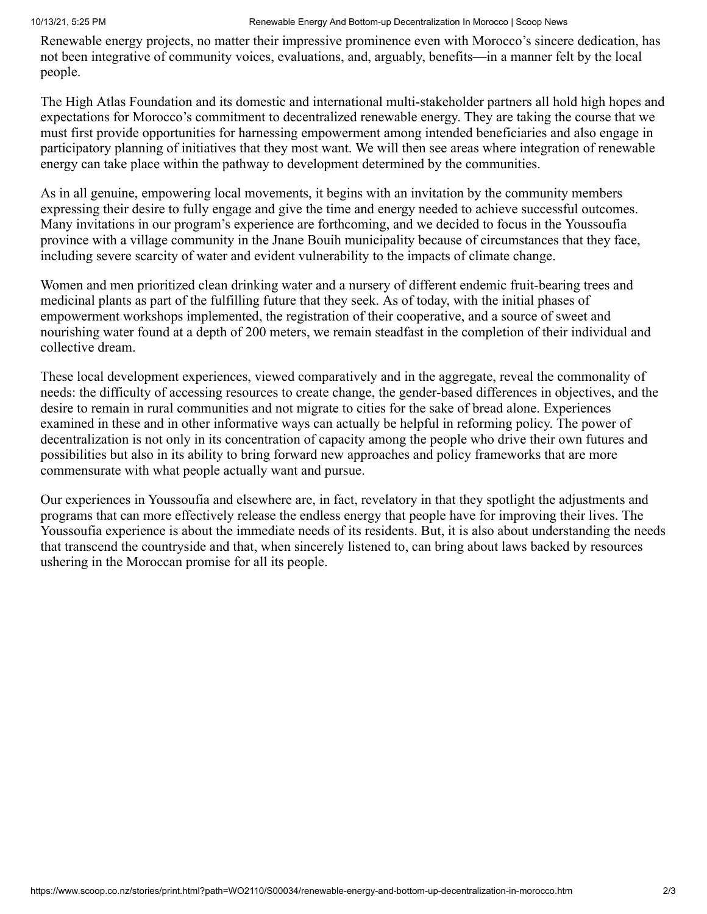Renewable energy projects, no matter their impressive prominence even with Morocco's sincere dedication, has not been integrative of community voices, evaluations, and, arguably, benefits—in a manner felt by the local people.

The High Atlas Foundation and its domestic and international multi-stakeholder partners all hold high hopes and expectations for Morocco's commitment to decentralized renewable energy. They are taking the course that we must first provide opportunities for harnessing empowerment among intended beneficiaries and also engage in participatory planning of initiatives that they most want. We will then see areas where integration of renewable energy can take place within the pathway to development determined by the communities.

As in all genuine, empowering local movements, it begins with an invitation by the community members expressing their desire to fully engage and give the time and energy needed to achieve successful outcomes. Many invitations in our program's experience are forthcoming, and we decided to focus in the Youssoufia province with a village community in the Jnane Bouih municipality because of circumstances that they face, including severe scarcity of water and evident vulnerability to the impacts of climate change.

Women and men prioritized clean drinking water and a nursery of different endemic fruit-bearing trees and medicinal plants as part of the fulfilling future that they seek. As of today, with the initial phases of empowerment workshops implemented, the registration of their cooperative, and a source of sweet and nourishing water found at a depth of 200 meters, we remain steadfast in the completion of their individual and collective dream.

These local development experiences, viewed comparatively and in the aggregate, reveal the commonality of needs: the difficulty of accessing resources to create change, the gender-based differences in objectives, and the desire to remain in rural communities and not migrate to cities for the sake of bread alone. Experiences examined in these and in other informative ways can actually be helpful in reforming policy. The power of decentralization is not only in its concentration of capacity among the people who drive their own futures and possibilities but also in its ability to bring forward new approaches and policy frameworks that are more commensurate with what people actually want and pursue.

Our experiences in Youssoufia and elsewhere are, in fact, revelatory in that they spotlight the adjustments and programs that can more effectively release the endless energy that people have for improving their lives. The Youssoufia experience is about the immediate needs of its residents. But, it is also about understanding the needs that transcend the countryside and that, when sincerely listened to, can bring about laws backed by resources ushering in the Moroccan promise for all its people.